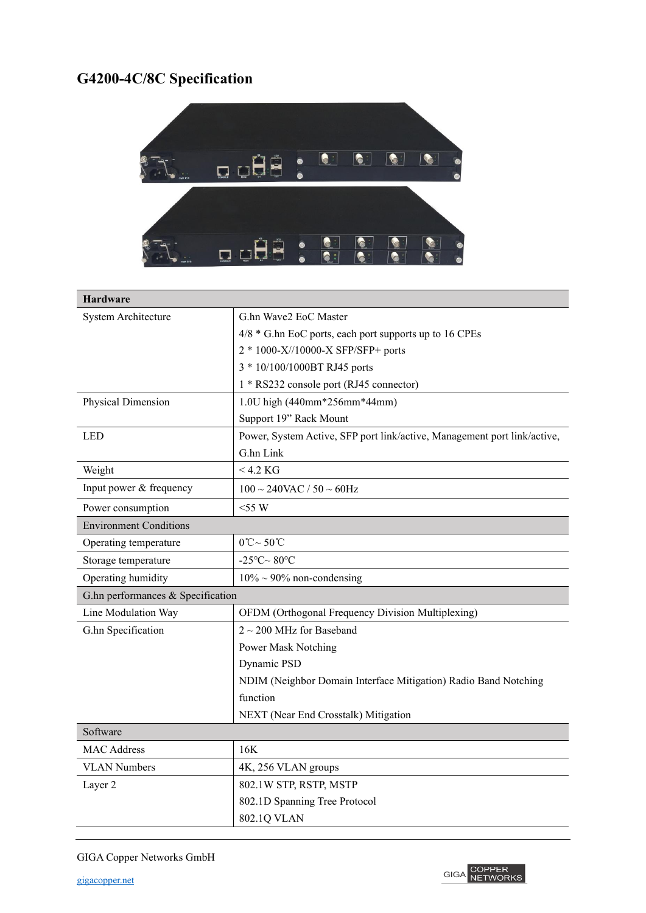## **G4200-4C/8C Specification**



| <b>Hardware</b>                   |                                                                          |
|-----------------------------------|--------------------------------------------------------------------------|
| System Architecture               | G.hn Wave2 EoC Master                                                    |
|                                   | $4/8$ * G.hn EoC ports, each port supports up to 16 CPEs                 |
|                                   | 2 * 1000-X//10000-X SFP/SFP+ ports                                       |
|                                   | 3 * 10/100/1000BT RJ45 ports                                             |
|                                   | 1 * RS232 console port (RJ45 connector)                                  |
| Physical Dimension                | 1.0U high (440mm*256mm*44mm)                                             |
|                                   | Support 19" Rack Mount                                                   |
| <b>LED</b>                        | Power, System Active, SFP port link/active, Management port link/active, |
|                                   | G.hn Link                                                                |
| Weight                            | $<$ 4.2 KG                                                               |
| Input power & frequency           | $100 \sim 240$ VAC / $50 \sim 60$ Hz                                     |
| Power consumption                 | $<$ 55 W                                                                 |
| <b>Environment Conditions</b>     |                                                                          |
| Operating temperature             | $0^{\circ}C \sim 50^{\circ}C$                                            |
| Storage temperature               | -25°C $\sim$ 80°C                                                        |
| Operating humidity                | $10\% \sim 90\%$ non-condensing                                          |
| G.hn performances & Specification |                                                                          |
| Line Modulation Way               | OFDM (Orthogonal Frequency Division Multiplexing)                        |
| G.hn Specification                | $2 \sim 200$ MHz for Baseband                                            |
|                                   | Power Mask Notching                                                      |
|                                   | Dynamic PSD                                                              |
|                                   | NDIM (Neighbor Domain Interface Mitigation) Radio Band Notching          |
|                                   | function                                                                 |
|                                   | NEXT (Near End Crosstalk) Mitigation                                     |
| Software                          |                                                                          |
| <b>MAC Address</b>                | 16K                                                                      |
| <b>VLAN Numbers</b>               | 4K, 256 VLAN groups                                                      |
| Layer 2                           | 802.1W STP, RSTP, MSTP                                                   |
|                                   | 802.1D Spanning Tree Protocol                                            |
|                                   | 802.1Q VLAN                                                              |